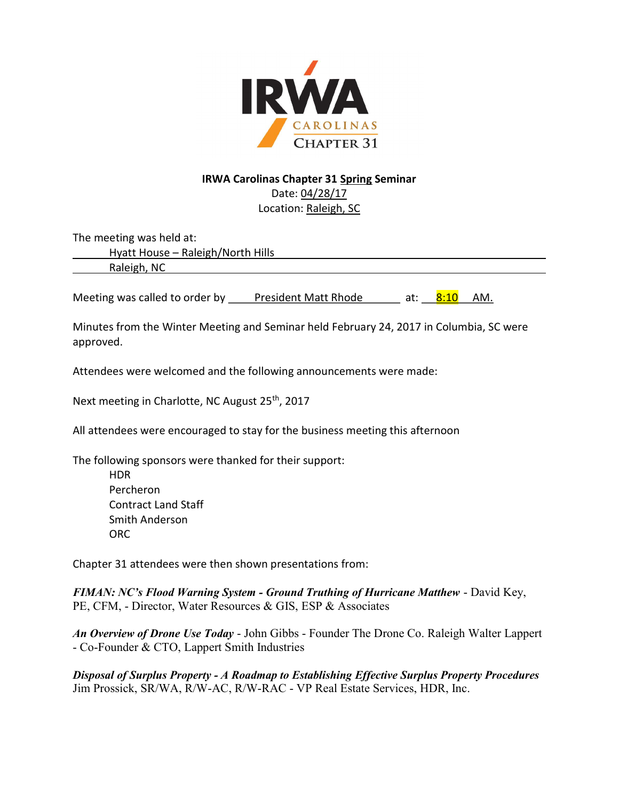

# IRWA Carolinas Chapter 31 Spring Seminar Date: 04/28/17

Location: Raleigh, SC

The meeting was held at:

Hyatt House – Raleigh/North Hills

Raleigh, NC

Meeting was called to order by President Matt Rhode at:  $8:10$  AM.

Minutes from the Winter Meeting and Seminar held February 24, 2017 in Columbia, SC were approved.

Attendees were welcomed and the following announcements were made:

Next meeting in Charlotte, NC August 25<sup>th</sup>, 2017

All attendees were encouraged to stay for the business meeting this afternoon

The following sponsors were thanked for their support:

 HDR Percheron Contract Land Staff Smith Anderson ORC

Chapter 31 attendees were then shown presentations from:

FIMAN: NC's Flood Warning System - Ground Truthing of Hurricane Matthew - David Key, PE, CFM, - Director, Water Resources & GIS, ESP & Associates

An Overview of Drone Use Today - John Gibbs - Founder The Drone Co. Raleigh Walter Lappert - Co-Founder & CTO, Lappert Smith Industries

Disposal of Surplus Property - A Roadmap to Establishing Effective Surplus Property Procedures Jim Prossick, SR/WA, R/W-AC, R/W-RAC - VP Real Estate Services, HDR, Inc.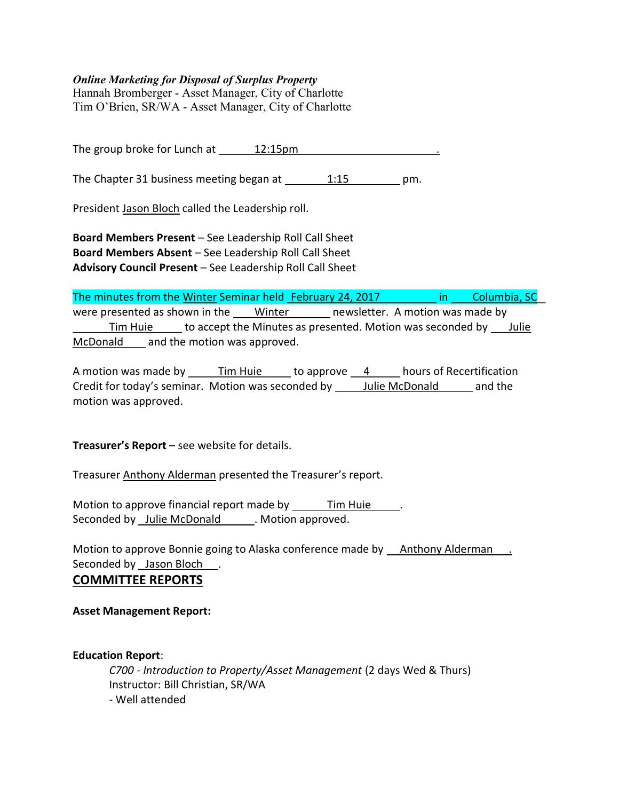## Online Marketing for Disposal of Surplus Property

Hannah Bromberger - Asset Manager, City of Charlotte Tim O'Brien, SR/WA - Asset Manager, City of Charlotte

The group broke for Lunch at \_\_\_\_\_\_ 12:15pm

The Chapter 31 business meeting began at 1:15 pm.

President Jason Bloch called the Leadership roll.

Board Members Present – See Leadership Roll Call Sheet Board Members Absent – See Leadership Roll Call Sheet Advisory Council Present – See Leadership Roll Call Sheet

The minutes from the Winter Seminar held February 24, 2017 in Columbia, SC were presented as shown in the Winter newsletter. A motion was made by Tim Huie to accept the Minutes as presented. Motion was seconded by Julie McDonald and the motion was approved.

A motion was made by \_\_\_\_\_\_Tim Huie \_\_\_\_\_\_ to approve \_\_\_4 \_\_\_\_\_\_ hours of Recertification Credit for today's seminar. Motion was seconded by Julie McDonald and the motion was approved.

Treasurer's Report – see website for details.

Treasurer Anthony Alderman presented the Treasurer's report.

Motion to approve financial report made by Tim Huie Seconded by Julie McDonald . Motion approved.

Motion to approve Bonnie going to Alaska conference made by Anthony Alderman . Seconded by Jason Bloch

## COMMITTEE REPORTS

Asset Management Report:

Education Report:

C700 - Introduction to Property/Asset Management (2 days Wed & Thurs) Instructor: Bill Christian, SR/WA - Well attended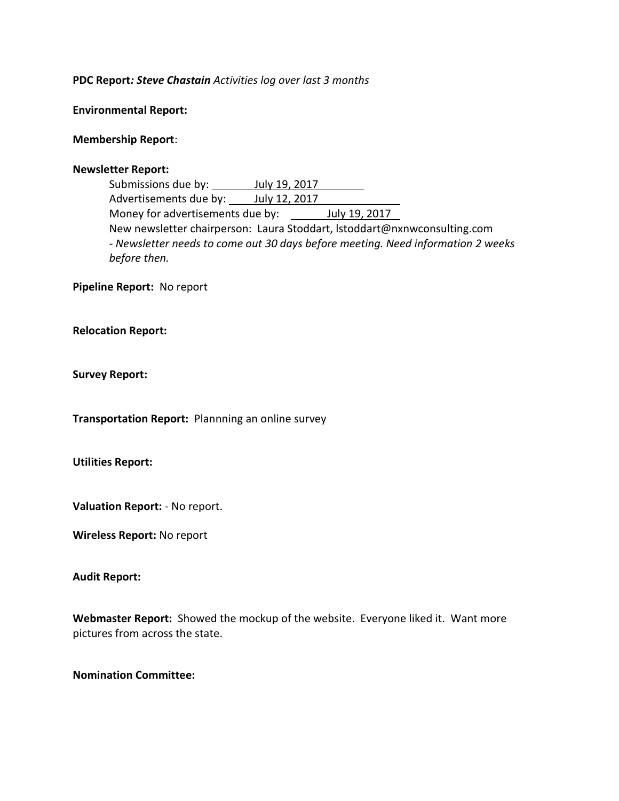### PDC Report: Steve Chastain Activities log over last 3 months

Environmental Report:

### Membership Report:

### Newsletter Report:

Submissions due by: **July 19, 2017** Advertisements due by: 100 July 12, 2017 Money for advertisements due by: \_\_\_\_\_\_ July 19, 2017 New newsletter chairperson: Laura Stoddart, lstoddart@nxnwconsulting.com - Newsletter needs to come out 30 days before meeting. Need information 2 weeks before then.

Pipeline Report: No report

Relocation Report:

Survey Report:

Transportation Report: Plannning an online survey

Utilities Report:

Valuation Report: - No report.

Wireless Report: No report

#### Audit Report:

Webmaster Report: Showed the mockup of the website. Everyone liked it. Want more pictures from across the state.

## Nomination Committee: